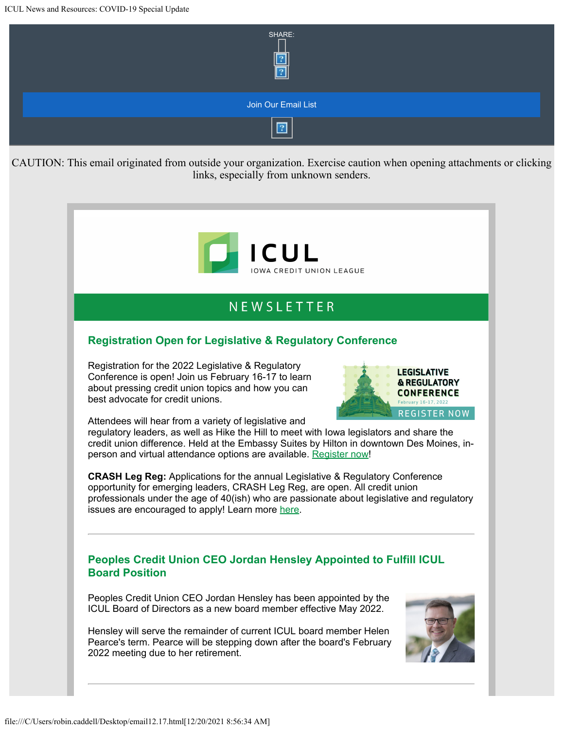

# NFWSIFTTFR

## **Registration Open for Legislative & Regulatory Conference**

Registration for the 2022 Legislative & Regulatory Conference is open! Join us February 16-17 to learn about pressing credit union topics and how you can best advocate for credit unions.



Attendees will hear from a variety of legislative and

regulatory leaders, as well as Hike the Hill to meet with Iowa legislators and share the credit union difference. Held at the Embassy Suites by Hilton in downtown Des Moines, inperson and virtual attendance options are available. [Register now](https://info.iowacreditunions.com/e/821233/454b-8090-44a896f3a2f2-summary/4b77v/330918097?h=uI1FVUS1g9GMpTRwb3sBh-BM34BSJOpFGrlbADJbH6k)!

**CRASH Leg Reg:** Applications for the annual Legislative & Regulatory Conference opportunity for emerging leaders, CRASH Leg Reg, are open. All credit union professionals under the age of 40(ish) who are passionate about legislative and regulatory issues are encouraged to apply! Learn more [here](https://info.iowacreditunions.com/e/821233/89-a675-4b81-9dbd-c3f24305d273/4b77x/330918097?h=uI1FVUS1g9GMpTRwb3sBh-BM34BSJOpFGrlbADJbH6k).

### **Peoples Credit Union CEO Jordan Hensley Appointed to Fulfill ICUL Board Position**

Peoples Credit Union CEO Jordan Hensley has been appointed by the ICUL Board of Directors as a new board member effective May 2022.

Hensley will serve the remainder of current ICUL board member Helen Pearce's term. Pearce will be stepping down after the board's February 2022 meeting due to her retirement.

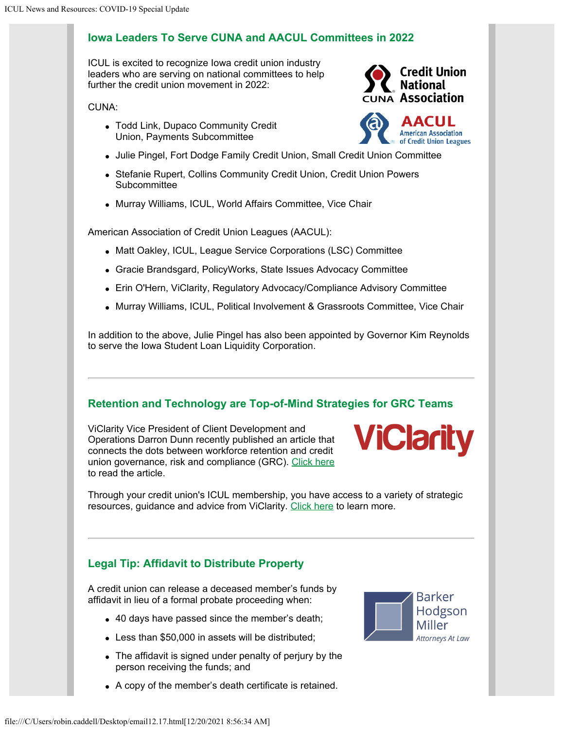#### **Iowa Leaders To Serve CUNA and AACUL Committees in 2022**

ICUL is excited to recognize Iowa credit union industry leaders who are serving on national committees to help further the credit union movement in 2022:

CUNA:

- Todd Link, Dupaco Community Credit Union, Payments Subcommittee
- Julie Pingel, Fort Dodge Family Credit Union, Small Credit Union Committee
- Stefanie Rupert, Collins Community Credit Union, Credit Union Powers **Subcommittee**
- Murray Williams, ICUL, World Affairs Committee, Vice Chair

American Association of Credit Union Leagues (AACUL):

- Matt Oakley, ICUL, League Service Corporations (LSC) Committee
- Gracie Brandsgard, PolicyWorks, State Issues Advocacy Committee
- Erin O'Hern, ViClarity, Regulatory Advocacy/Compliance Advisory Committee
- Murray Williams, ICUL, Political Involvement & Grassroots Committee, Vice Chair

In addition to the above, Julie Pingel has also been appointed by Governor Kim Reynolds to serve the Iowa Student Loan Liquidity Corporation.

### **Retention and Technology are Top-of-Mind Strategies for GRC Teams**

ViClarity Vice President of Client Development and Operations Darron Dunn recently published an article that connects the dots between workforce retention and credit union governance, risk and compliance (GRC). [Click here](https://info.iowacreditunions.com/e/821233/witter-com-utm-campaign-buffer/4b77z/330918097?h=uI1FVUS1g9GMpTRwb3sBh-BM34BSJOpFGrlbADJbH6k) to read the article.



Through your credit union's ICUL membership, you have access to a variety of strategic resources, guidance and advice from ViClarity. [Click here](https://info.iowacreditunions.com/e/821233/e-Services-Overview-102621-pdf/4b782/330918097?h=uI1FVUS1g9GMpTRwb3sBh-BM34BSJOpFGrlbADJbH6k) to learn more.

## **Legal Tip: Affidavit to Distribute Property**

A credit union can release a deceased member's funds by affidavit in lieu of a formal probate proceeding when:

- 40 days have passed since the member's death;
- Less than \$50,000 in assets will be distributed;
- The affidavit is signed under penalty of perjury by the person receiving the funds; and
- A copy of the member's death certificate is retained.





**American Association** of Credit Union Leagues